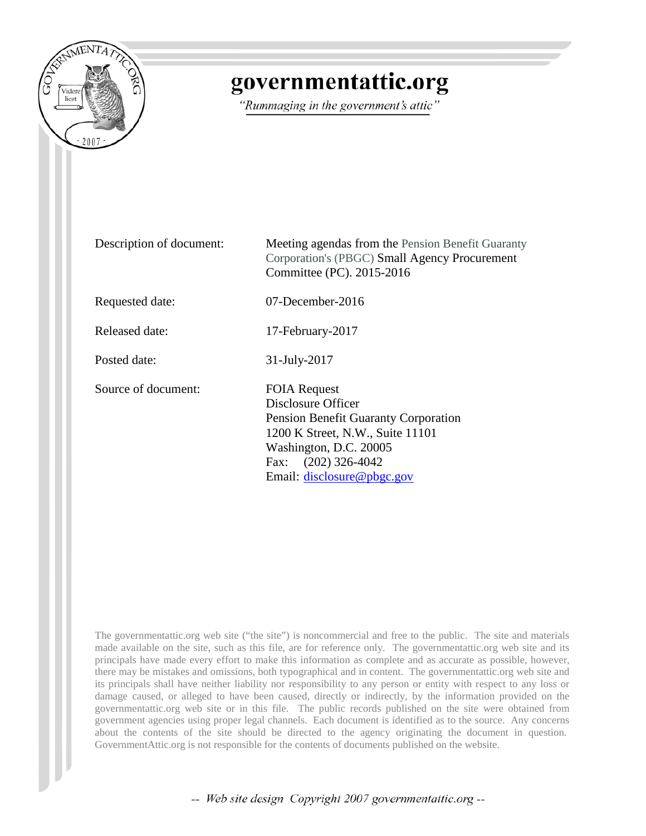

# governmentattic.org

"Rummaging in the government's attic"

Description of document: Meeting agendas from the Pension Benefit Guaranty Corporation's (PBGC) Small Agency Procurement Committee (PC). 2015-2016 Requested date: 07-December-2016 Released date: 17-February-2017 Posted date: 31-July-2017 Source of document: FOIA Request Disclosure Officer Pension Benefit Guaranty Corporation 1200 K Street, N.W., Suite 11101 Washington, D.C. 20005 Fax: (202) 326-4042 Email: [disclosure@pbgc.gov](mailto:disclosure@pbgc.gov?subject=ATTN%20Disclosure%20Officer:%20FOIA%20Request)

The governmentattic.org web site ("the site") is noncommercial and free to the public. The site and materials made available on the site, such as this file, are for reference only. The governmentattic.org web site and its principals have made every effort to make this information as complete and as accurate as possible, however, there may be mistakes and omissions, both typographical and in content. The governmentattic.org web site and its principals shall have neither liability nor responsibility to any person or entity with respect to any loss or damage caused, or alleged to have been caused, directly or indirectly, by the information provided on the governmentattic.org web site or in this file. The public records published on the site were obtained from government agencies using proper legal channels. Each document is identified as to the source. Any concerns about the contents of the site should be directed to the agency originating the document in question. GovernmentAttic.org is not responsible for the contents of documents published on the website.

-- Web site design Copyright 2007 governmentattic.org --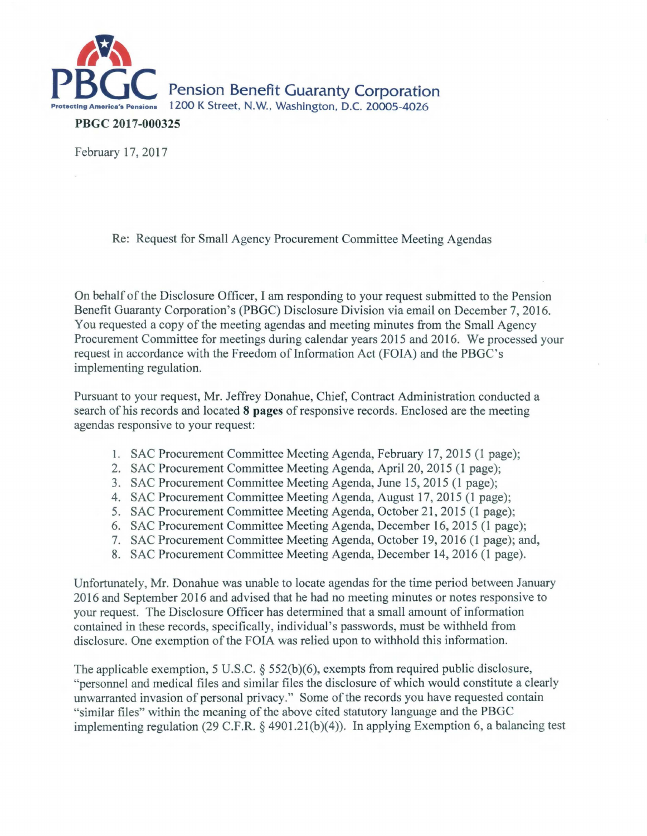

PBGC 2017-000325

February 17, 2017

Re: Request for Small Agency Procurement Committee Meeting Agendas

On behalf of the Disclosure Officer, I am responding to your request submitted to the Pension Benefit Guaranty Corporation's (PBGC) Disclosure Division via email on December 7, 2016. You requested a copy of the meeting agendas and meeting minutes from the Small Agency Procurement Committee for meetings during calendar years 2015 and 2016. We processed your request in accordance with the Freedom of Information Act (FOIA) and the PBGC's implementing regulation.

Pursuant to your request, Mr. Jeffrey Donahue, Chief, Contract Administration conducted a search of his records and located 8 pages of responsive records. Enclosed are the meeting agendas responsive to your request:

- 1. SAC Procurement Committee Meeting Agenda, February 17, 2015 (1 page);
- 2. SAC Procurement Committee Meeting Agenda, April 20, 2015 (1 page);
- 3. SAC Procurement Committee Meeting Agenda, June 15, 2015 (1 page);
- 4. SAC Procurement Committee Meeting Agenda, August 17, 2015 (1 page);
- 5. SAC Procurement Committee Meeting Agenda, October 21, 2015 (1 page);
- 6. SAC Procurement Committee Meeting Agenda, December 16, 2015 (1 page);
- 7. SAC Procurement Committee Meeting Agenda, October 19, 2016 (1 page); and,
- 8. SAC Procurement Committee Meeting Agenda, December 14, 2016 (1 page).

Unfortunately, Mr. Donahue was unable to locate agendas for the time period between January 2016 and September 2016 and advised that he had no meeting minutes or notes responsive to your request. The Disclosure Officer has determined that a small amount of information contained in these records, specifically, individual's passwords, must be withheld from disclosure. One exemption of the FOIA was relied upon to withhold this information.

The applicable exemption, 5 U.S.C. § 552(b)(6), exempts from required public disclosure, "personnel and medical files and similar files the disclosure of which would constitute a clearly unwarranted invasion of personal privacy." Some of the records you have requested contain "similar files" within the meaning of the above cited statutory language and the PBGC implementing regulation (29 C.F.R. § 4901.21(b)(4)). In applying Exemption 6, a balancing test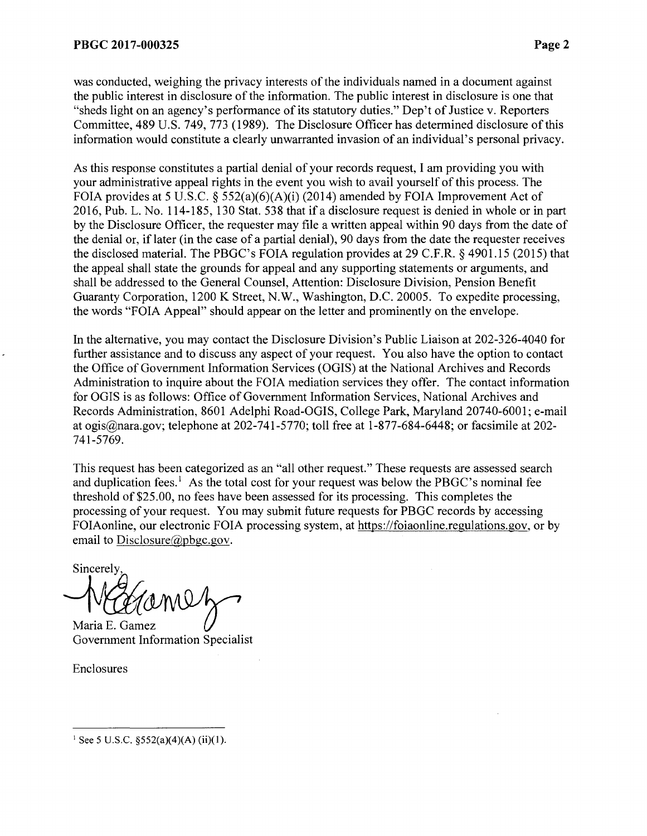was conducted, weighing the privacy interests of the individuals named in a document against the public interest in disclosure of the information. The public interest in disclosure is one that "sheds light on an agency's performance of its statutory duties." Dep't of Justice v. Reporters Committee, 489 U.S. 749, 773 (1989). The Disclosure Officer has determined disclosure of this information would constitute a clearly unwarranted invasion of an individual's personal privacy.

As this response constitutes a partial denial of your records request, I am providing you with your administrative appeal rights in the event you wish to avail yourself of this process. The FOIA provides at 5 U.S.C. § 552(a)(6)(A)(i) (2014) amended by FOIA Improvement Act of 2016, Pub. L. No. 114-185, 130 Stat. 538 that if a disclosure request is denied in whole or in part by the Disclosure Officer, the requester may file a written appeal within 90 days from the date of the denial or, if later (in the case of a partial denial), 90 days from the date the requester receives the disclosed material. The PBGC's FOIA regulation provides at 29 C.F.R. § 4901.15 (2015) that the appeal shall state the grounds for appeal and any supporting statements or arguments, and shall be addressed to the General Counsel, Attention: Disclosure Division, Pension Benefit Guaranty Corporation, 1200 K Street, N.W., Washington, D.C. 20005. To expedite processing, the words "FOIA Appeal" should appear on the letter and prominently on the envelope.

In the alternative, you may contact the Disclosure Division's Public Liaison at 202-326-4040 for further assistance and to discuss any aspect of your request. You also have the option to contact the Office of Government Information Services (OGIS) at the National Archives and Records Administration to inquire about the FOIA mediation services they offer. The contact information for OGIS is as follows: Office of Government Information Services, National Archives and Records Administration, 8601 Adelphi Road-OGIS, College Park, Maryland 20740-6001; e-mail at ogis@nara.gov; telephone at 202-741-5770; toll free at 1-877-684-6448; or facsimile at 202- 741-5769.

This request has been categorized as an "all other request." These requests are assessed search and duplication fees.<sup>1</sup> As the total cost for your request was below the PBGC's nominal fee threshold of \$25.00, no fees have been assessed for its processing. This completes the processing of your request. You may submit future requests for PBGC records by accessing FOIAonline, our electronic FOIA processing system, at https://foiaonline.regulations.gov, or by email to Disclosure@pbgc.gov.

Sincerely

Maria E. Gamez Government Information Specialist

Enclosures

<sup>&</sup>lt;sup>1</sup> See 5 U.S.C.  $\S 52(a)(4)(A)$  (ii)(1).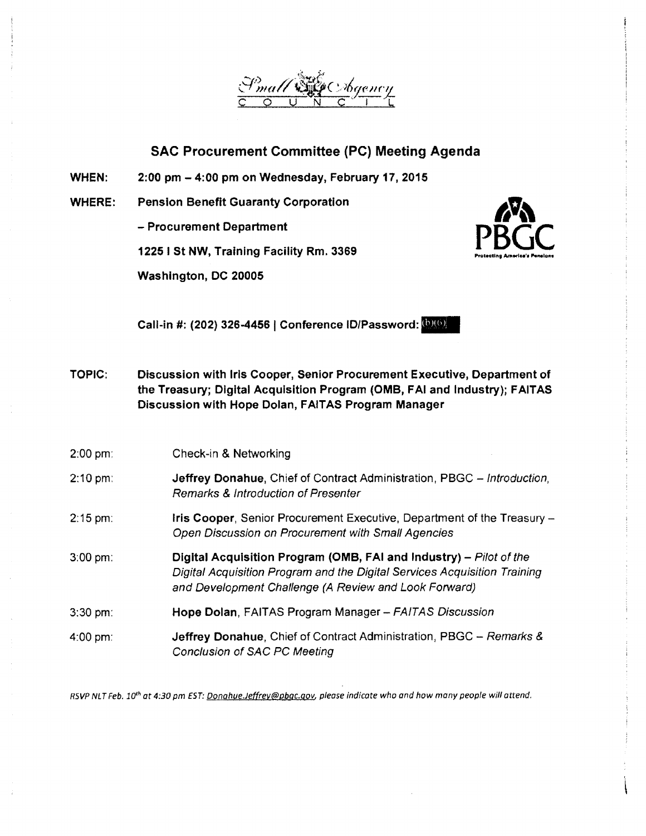

WHEN: 2:00 pm - 4:00 pm on Wednesday, February 17, 2015

WHERE: Pension Benefit Guaranty Corporation

- Procurement Department

12251 St NW, Training Facility Rm. 3369

Washington, DC 20005



Call-in #: (202) 326-4456 | Conference ID/Password: **(0)(0)** 

- TOPIC: Discussion with Iris Cooper, Senior Procurement Executive, Department of the Treasury; Digital Acquisition Program (OMB, FAI and Industry); FAITAS Discussion with Hope Dolan, FAITAS Program Manager
- 2:00 pm: Check-in & Networking
- 2:10 pm: Jeffrey Donahue, Chief of Contract Administration, PBGC - Introduction, Remarks & Introduction of Presenter
- 2:15 pm: Iris Cooper, Senior Procurement Executive, Department of the Treasury - Open Discussion on Procurement with Small Agencies
- 3:00 pm: Digital Acquisition Program (OMB, FAI and Industry) - Pilot of the Digital Acquisition Program and the Digital Services Acquisition Training and Development Challenge (A Review and Look Forward)
- 3:30 pm: Hope Dolan, FAITAS Program Manager - FAITAS Discussion
- 4:00 pm: Jeffrey Donahue, Chief of Contract Administration, PBGC - Remarks & Conclusion of SAC PC Meeting

RSVP NLT Feb. 10*<sup>1</sup> h* at 4:30 pm EST: Donahue.Jeffrey@pbqc.qov, please indicate wha and how many people will attend.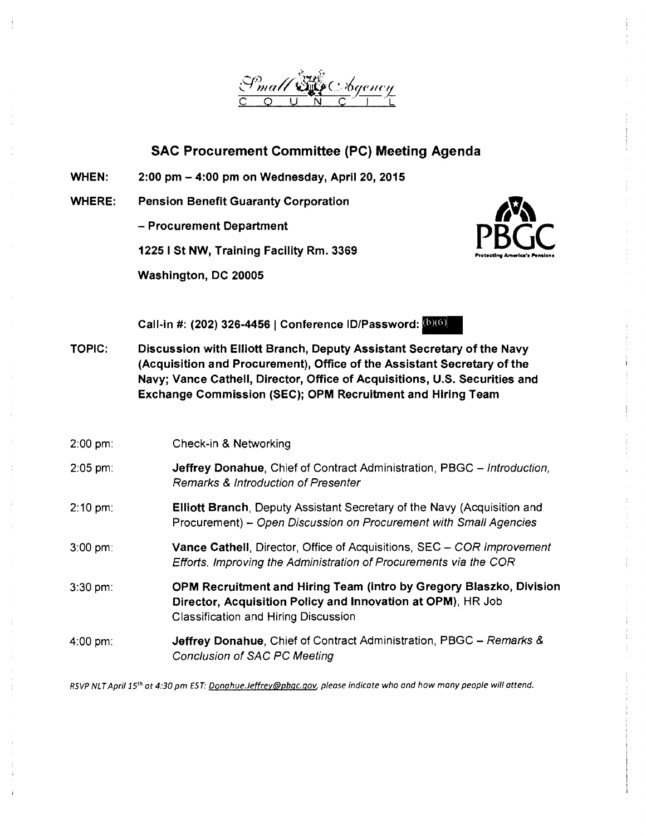

WHEN: 2:00 pm - 4:00 pm on Wednesday, April 20, 2015

WHERE: Pension Benefit Guaranty Corporation

- Procurement Department

1225 I St NW, Training Facility Rm. 3369

Washington, DC 20005



Call-in #: (202) 326-4456 | Conference ID/Password: (b)(6)

TOPIC: Discussion with Elliott Branch, Deputy Assistant Secretary of the Navy (Acquisition and Procurement), Office of the Assistant Secretary of the Navy; Vance Cathell, Director, Office of Acquisitions, U.S. Securities and Exchange Commission (SEC); OPM Recruitment and Hiring Team

| $2:00 \text{ pm}$ : | Check-in & Networking                                                                                                                                                             |
|---------------------|-----------------------------------------------------------------------------------------------------------------------------------------------------------------------------------|
| $2:05$ pm:          | Jeffrey Donahue, Chief of Contract Administration, PBGC - Introduction,<br><b>Remarks &amp; Introduction of Presenter</b>                                                         |
| $2:10 \text{ pm}$   | Elliott Branch, Deputy Assistant Secretary of the Navy (Acquisition and<br>Procurement) - Open Discussion on Procurement with Small Agencies                                      |
| $3:00 \text{ pm}$   | Vance Cathell, Director, Office of Acquisitions, SEC - COR Improvement<br>Efforts. Improving the Administration of Procurements via the COR                                       |
| $3:30$ pm:          | OPM Recruitment and Hiring Team (intro by Gregory Blaszko, Division<br>Director, Acquisition Policy and Innovation at OPM), HR Job<br><b>Classification and Hiring Discussion</b> |
| 4:00 pm:            | Jeffrey Donahue, Chief of Contract Administration, PBGC - Remarks &<br><b>Conclusion of SAC PC Meeting</b>                                                                        |

RSVP NLTApril *15th* at 4:30 pm EST: Donahue.Jetfrey@pbgc.gov, please indicate who and how many people will attend.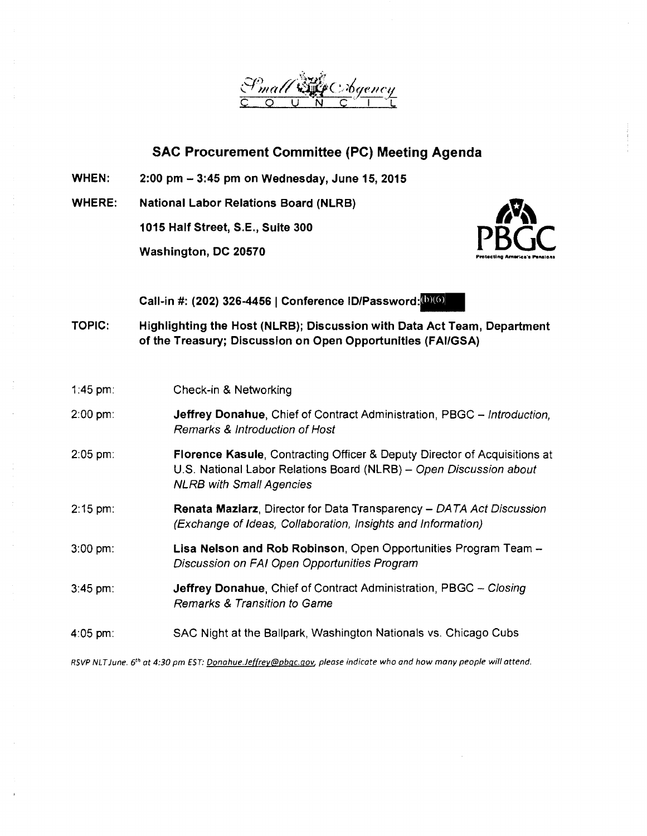

- WHEN: 2:00 pm - 3:45 pm on Wednesday, June 15, 2015
- WHERE: National Labor Relations Board (NLRB)

1015 Half Street, S.E., Suite 300

Washington, DC 20570



Call-in #: (202) 326-4456 | Conference ID/Password:<sup>(b)(6)</sup>

TOPIC: Highlighting the Host (NLRB); Discussion with Data Act Team, Department of the Treasury; Discussion on Open Opportunities (FAl/GSA)

| 1:45 pm:            | Check-in & Networking                                                                                                                                                              |
|---------------------|------------------------------------------------------------------------------------------------------------------------------------------------------------------------------------|
| $2:00$ pm:          | <b>Jeffrey Donahue, Chief of Contract Administration, PBGC - Introduction,</b><br>Remarks & Introduction of Host                                                                   |
| $2:05$ pm:          | Florence Kasule, Contracting Officer & Deputy Director of Acquisitions at<br>U.S. National Labor Relations Board (NLRB) - Open Discussion about<br><b>NLRB with Small Agencies</b> |
| $2:15$ pm:          | Renata Maziarz, Director for Data Transparency - DATA Act Discussion<br>(Exchange of Ideas, Collaboration, Insights and Information)                                               |
| $3:00 \text{ pm}$ : | Lisa Nelson and Rob Robinson, Open Opportunities Program Team -<br>Discussion on FAI Open Opportunities Program                                                                    |
| $3:45$ pm:          | Jeffrey Donahue, Chief of Contract Administration, PBGC - Closing<br>Remarks & Transition to Game                                                                                  |
| 4:05 pm:            | SAC Night at the Ballpark, Washington Nationals vs. Chicago Cubs                                                                                                                   |

RSVP NLT June. 6<sup>th</sup> at 4:30 pm EST: Donahue.Jeffrey@pbgc.gov, please indicate who and how many people will attend.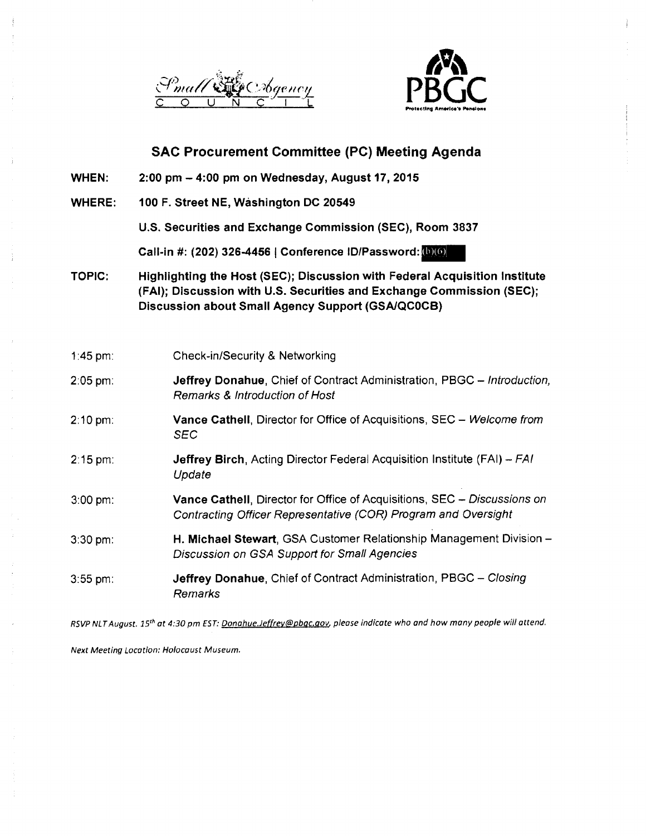



- **WHEN: 2:00 pm - 4:00 pm on Wednesday, August 17, 2015**
- **WHERE: 100 F. Street NE, Washington DC 20549**

**U.S. Securities and Exchange Commission (SEC), Room 3837** 

Call-in #: (202) 326-4456 | Conference ID/Password:<sup>(b)(6)</sup>

**TOPIC: Highllghtlng the Host (SEC); Discussion with Federal Acquisition Institute (FAI); Discussion with U.S. Securities and Exchange Commission (SEC); Discussion about Small Agency Support (GSA/QCOCB)** 

| 1:45 pm:            | Check-in/Security & Networking                                                                                                                    |
|---------------------|---------------------------------------------------------------------------------------------------------------------------------------------------|
| $2:05$ pm:          | <b>Jeffrey Donahue, Chief of Contract Administration, PBGC - Introduction,</b><br><b>Remarks &amp; Introduction of Host</b>                       |
| $2:10 \text{ pm}$ : | <b>Vance Cathell, Director for Office of Acquisitions, SEC – Welcome from</b><br>SEC                                                              |
| $2:15$ pm:          | <b>Jeffrey Birch, Acting Director Federal Acquisition Institute (FAI) - FAI</b><br>Update                                                         |
| $3:00$ pm:          | <b>Vance Cathell, Director for Office of Acquisitions, SEC – Discussions on</b><br>Contracting Officer Representative (COR) Program and Oversight |
| $3:30$ pm:          | H. Michael Stewart, GSA Customer Relationship Management Division -<br>Discussion on GSA Support for Small Agencies                               |
| $3:55$ pm:          | <b>Jeffrey Donahue, Chief of Contract Administration, PBGC - Closing</b><br>Remarks                                                               |

RSVP NLT August. 15<sup>th</sup> at 4:30 pm EST: Donahue.Jeffrey@pbgc.gov, please indicate who and how many people will attend.

Next Meeting Location: Holocaust Museum.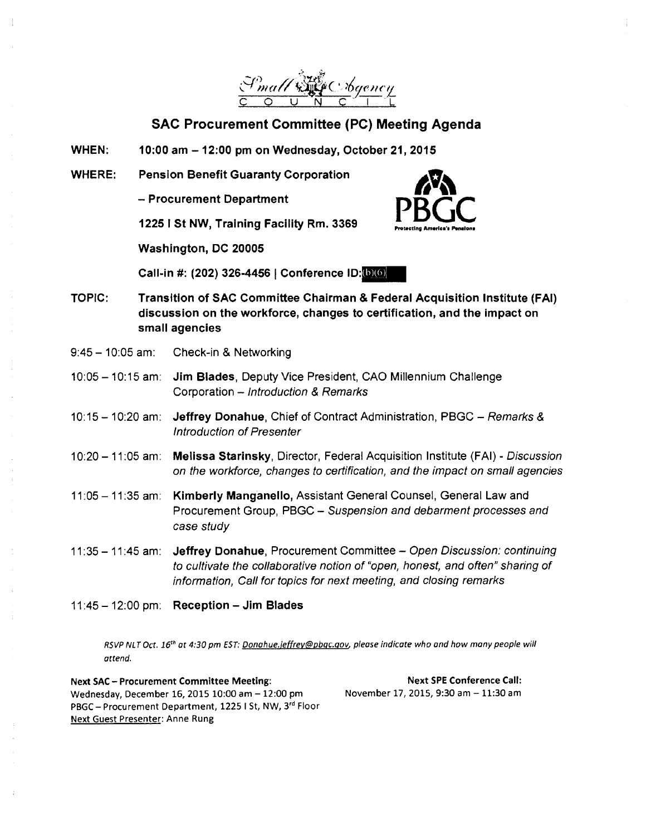

WHEN: 10:00 am -12:00 pm on Wednesday, October 21, 2015

WHERE: Pension Benefit Guaranty Corporation

- Procurement Department

1225 I St NW, Training Facility Rm. 3369

Washington, DC 20005

Call-in #: (202) 326-4456 | Conference ID: (b) (6)

TOPIC: Transition of SAC Committee Chairman & Federal Acquisition Institute (FAI) discussion on the workforce, changes to certification, and the impact on small agencies

Protecting

**AMPROCE** 

- 9:45 10:05 am: Check-in & Networking
- 10:05 -10:15 am: Jim Blades, Deputy Vice President, CAO Millennium Challenge Corporation - Introduction & Remarks
- 10:15 10:20 am: Jeffrey Donahue, Chief of Contract Administration, PBGC Remarks & Introduction of Presenter
- 10:20 11:05 am: Melissa Starinsky, Director, Federal Acquisition Institute (FAI) Discussion on the workforce, changes to certification, and the impact on small agencies
- 11 :05 -11 :35 am: Kimberly Manganello, Assistant General Counsel, General Law and Procurement Group, PBGC - Suspension and debarment processes and case study
- 11:35 11:45 am: Jeffrey Donahue, Procurement Committee Open Discussion: continuing to cultivate the collaborative notion of "open, honest, and often" sharing of information, Call for topics for next meeting, and closing remarks
- $11:45 12:00$  pm: Reception Jim Blades

RSVP NLT Oct. 16*<sup>1</sup> <sup>h</sup>*at 4:30 pm EST: Donahue.jeffrev@pbgc.gov, please indicate who and how many people will attend.

Next SAC - Procurement Committee Meeting: Wednesday, December 16, 2015 10:00 am - 12:00 pm PBGC-Procurement Department, 1225 I St, NW, 3rd Floor Next Guest Presenter: Anne Rung

Next SPE Conference Call: November 17, 2015, 9:30 am - 11:30 am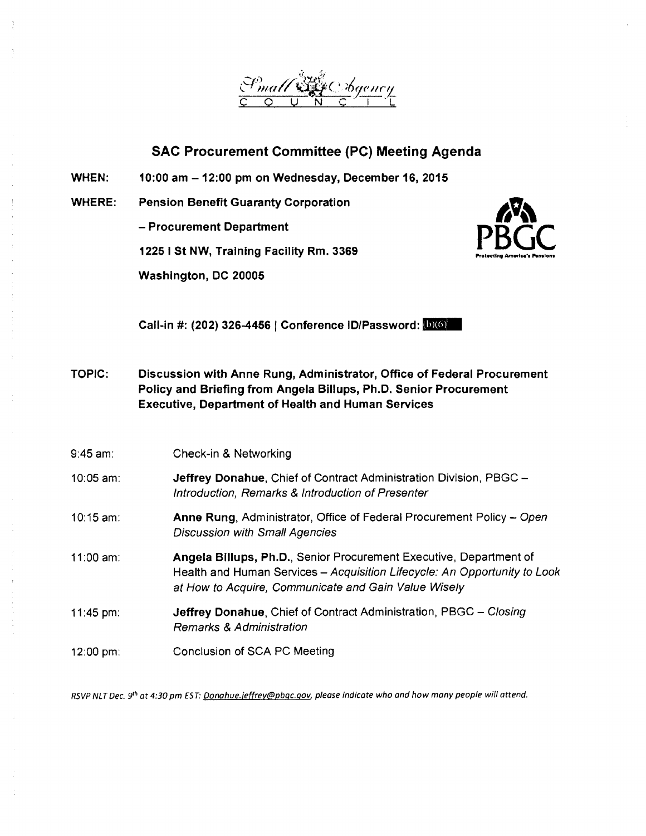

**WHEN: 10:00 am -12:00 pm on Wednesday, December 16, 2015** 

**WHERE: Pension Benefit Guaranty Corporation** 

- **Procurement Department** 

**12251 St NW, Training Facility Rm. 3369** 

**Washington, DC 20005** 



**Call-in #: (202) 326-4456 | Conference ID/Password:**  $(b)(6)$ 

- **TOPIC: Discussion with Anne Rung, Administrator, Office of Federal Procurement Policy and Briefing from Angela Billups, Ph.D. Senior Procurement Executive, Department of Health and Human Services**
- 9:45 am: Check-in & Networking 10:05 am: **Jeffrey Donahue,** Chief of Contract Administration Division, PBGC - Introduction, Remarks & Introduction of Presenter 10:15 am: **Anne Rung,** Administrator, Office of Federal Procurement Policy- Open Discussion with Small Agencies 11 :00 am: **Angela Billups, Ph.D.,** Senior Procurement Executive, Department of Health and Human Services - Acquisition Lifecycle: An Opportunity to Look at How to Acquire, Communicate and Gain Value Wisely 11 :45 pm: **Jeffrey Donahue,** Chief of Contract Administration, PBGC - Closing Remarks & Administration 12:00 pm: Conclusion of SCA PC Meeting

RSVP NLT Dec. 9<sup>th</sup> at 4:30 pm EST: Donahue.jeffrey@pbgc.gov, please indicate who and how many people will attend.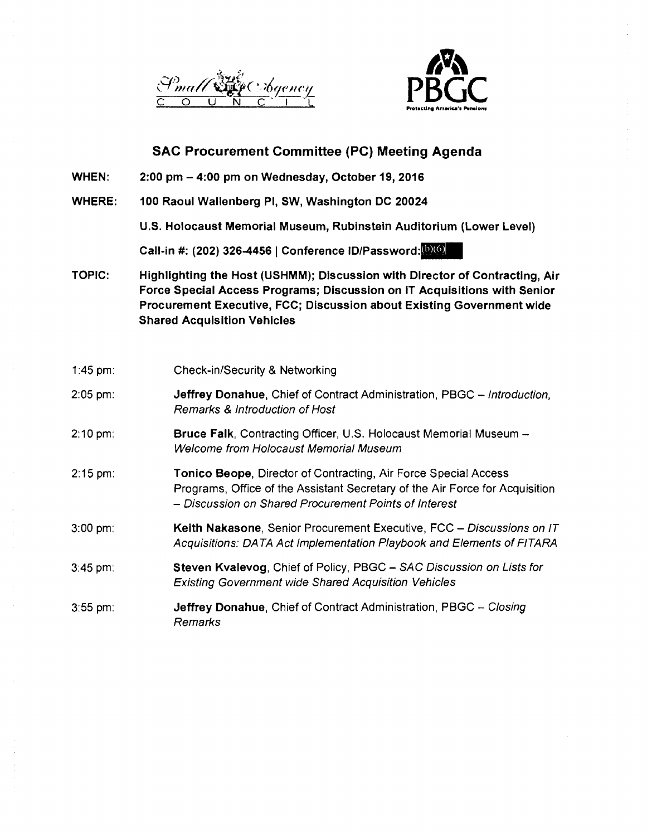



- WHEN: 2:00 pm - 4:00 pm on Wednesday, October 19, 2016
- WHERE: 100 Raoul Wallenberg Pl, SW, Washington DC 20024

U.S. Holocaust Memorial Museum, Rubinstein Auditorium (Lower Level)

Call-in #: (202) 326-4456 | Conference ID/Password: $[0]$ 

TOPIC: Highllghting the Host (USHMM); Discussion with Director of Contracting, Air Force Special Access Programs; Discussion on IT Acquisitions with Senior Procurement Executive, FCC; Discussion about Existing Government wide Shared Acquisition Vehicles

| 1:45 pm:          | <b>Check-in/Security &amp; Networking</b>                                                                                                                                                                |
|-------------------|----------------------------------------------------------------------------------------------------------------------------------------------------------------------------------------------------------|
| $2:05$ pm:        | <b>Jeffrey Donahue, Chief of Contract Administration, PBGC - Introduction,</b><br>Remarks & Introduction of Host                                                                                         |
| $2:10 \text{ pm}$ | Bruce Falk, Contracting Officer, U.S. Holocaust Memorial Museum -<br><b>Welcome from Holocaust Memorial Museum</b>                                                                                       |
| $2:15 \text{ pm}$ | Tonico Beope, Director of Contracting, Air Force Special Access<br>Programs, Office of the Assistant Secretary of the Air Force for Acquisition<br>- Discussion on Shared Procurement Points of Interest |
| $3:00$ pm:        | Keith Nakasone, Senior Procurement Executive, FCC - Discussions on IT<br>Acquisitions: DATA Act Implementation Playbook and Elements of FITARA                                                           |
| $3:45$ pm:        | Steven Kvalevog, Chief of Policy, PBGC - SAC Discussion on Lists for<br><b>Existing Government wide Shared Acquisition Vehicles</b>                                                                      |
| $3:55$ pm:        | Jeffrey Donahue, Chief of Contract Administration, PBGC - Closing<br>Remarks                                                                                                                             |